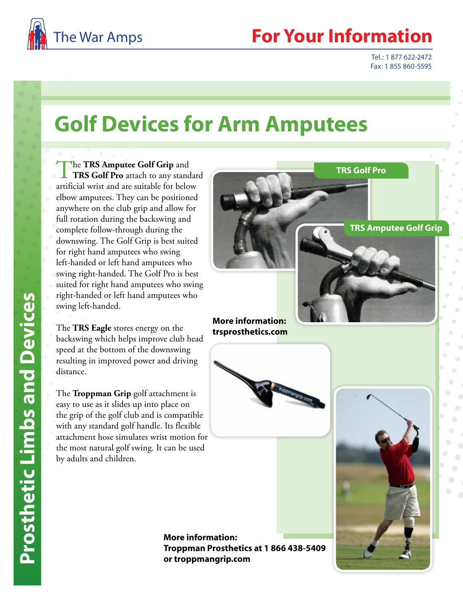

Tel.: 1 877 622-2472 Fax: 1 855 860-5595

## **Golf Devices for Arm Amputees**

The **TRS Amputee Golf Grip** and<br> **TRS Golf Pro** attach to any standard artificial wrist and are suitable for below elbow amputees. They can be positioned anywhere on the club grip and allow for full rotation during the backswing and complete follow-through during the downswing. The Golf Grip is best suited for right hand amputees who swing left-handed or left hand amputees who swing right-handed. The Golf Pro is best suited for right hand amputees who swing right-handed or left hand amputees who swing left-handed.

The **TRS Eagle** stores energy on the backswing which helps improve club head speed at the bottom of the downswing resulting in improved power and driving distance.

The **Troppman Grip** golf attachment is easy to use as it slides up into place on the grip of the golf club and is compatible with any standard golf handle. Its flexible attachment hose simulates wrist motion for the most natural golf swing. It can be used by adults and children.

**TRS Amputee Golf Grip TRS Golf Pro** 

**More information: trsprosthetics.com**



**More information: Troppman Prosthetics at 1 866 438-5409 or troppmangrip.com**